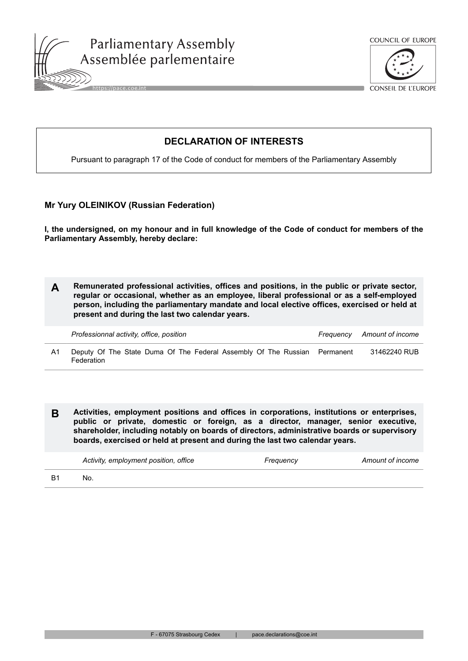





CONSEIL DE L'EUROPE

## **DECLARATION OF INTERESTS**

Pursuant to paragraph 17 of the Code of conduct for members of the Parliamentary Assembly

## **Mr Yury OLEINIKOV (Russian Federation)**

**I, the undersigned, on my honour and in full knowledge of the Code of conduct for members of the Parliamentary Assembly, hereby declare:**

**A Remunerated professional activities, offices and positions, in the public or private sector, regular or occasional, whether as an employee, liberal professional or as a self-employed person, including the parliamentary mandate and local elective offices, exercised or held at present and during the last two calendar years.**

|    | Professionnal activity, office, position                                                | Frequency Amount of income |
|----|-----------------------------------------------------------------------------------------|----------------------------|
| Α1 | Deputy Of The State Duma Of The Federal Assembly Of The Russian Permanent<br>Federation | 31462240 RUB               |

**B Activities, employment positions and offices in corporations, institutions or enterprises, public or private, domestic or foreign, as a director, manager, senior executive, shareholder, including notably on boards of directors, administrative boards or supervisory boards, exercised or held at present and during the last two calendar years.**

| Activity, employment position, office | Frequency | Amount of income |
|---------------------------------------|-----------|------------------|
| No.                                   |           |                  |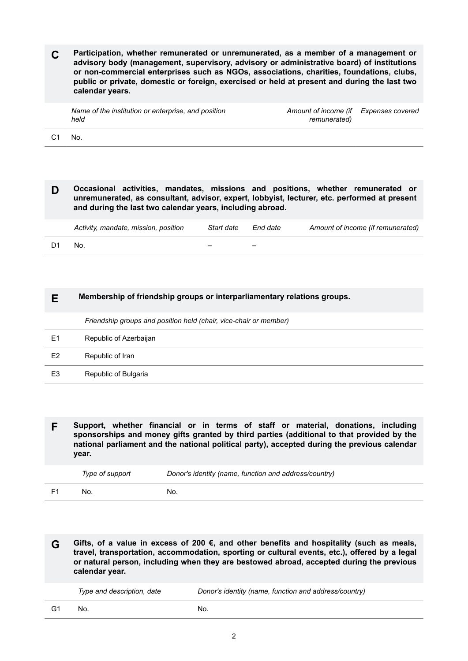**C Participation, whether remunerated or unremunerated, as a member of a management or advisory body (management, supervisory, advisory or administrative board) of institutions or non-commercial enterprises such as NGOs, associations, charities, foundations, clubs, public or private, domestic or foreign, exercised or held at present and during the last two calendar years.**

| Name of the institution or enterprise, and position<br>held | Amount of income (if Expenses covered<br>remunerated) |  |
|-------------------------------------------------------------|-------------------------------------------------------|--|
|                                                             |                                                       |  |

C1 No.

**D Occasional activities, mandates, missions and positions, whether remunerated or unremunerated, as consultant, advisor, expert, lobbyist, lecturer, etc. performed at present and during the last two calendar years, including abroad.**

|    | Activity, mandate, mission, position | Start date | End date | Amount of income (if remunerated) |
|----|--------------------------------------|------------|----------|-----------------------------------|
| D1 | No.                                  |            |          |                                   |

| Membership of friendship groups or interparliamentary relations groups. |
|-------------------------------------------------------------------------|
| Friendship groups and position held (chair, vice-chair or member)       |
| Republic of Azerbaijan                                                  |
| Republic of Iran                                                        |
| Republic of Bulgaria                                                    |
|                                                                         |

**F Support, whether financial or in terms of staff or material, donations, including sponsorships and money gifts granted by third parties (additional to that provided by the national parliament and the national political party), accepted during the previous calendar year.**

| Type of support | Donor's identity (name, function and address/country) |
|-----------------|-------------------------------------------------------|
| No.             | No.                                                   |

**G Gifts, of a value in excess of 200 €, and other benefits and hospitality (such as meals, travel, transportation, accommodation, sporting or cultural events, etc.), offered by a legal or natural person, including when they are bestowed abroad, accepted during the previous calendar year.**

| Type and description, date | Donor's identity (name, function and address/country) |
|----------------------------|-------------------------------------------------------|
| No.                        | No.                                                   |